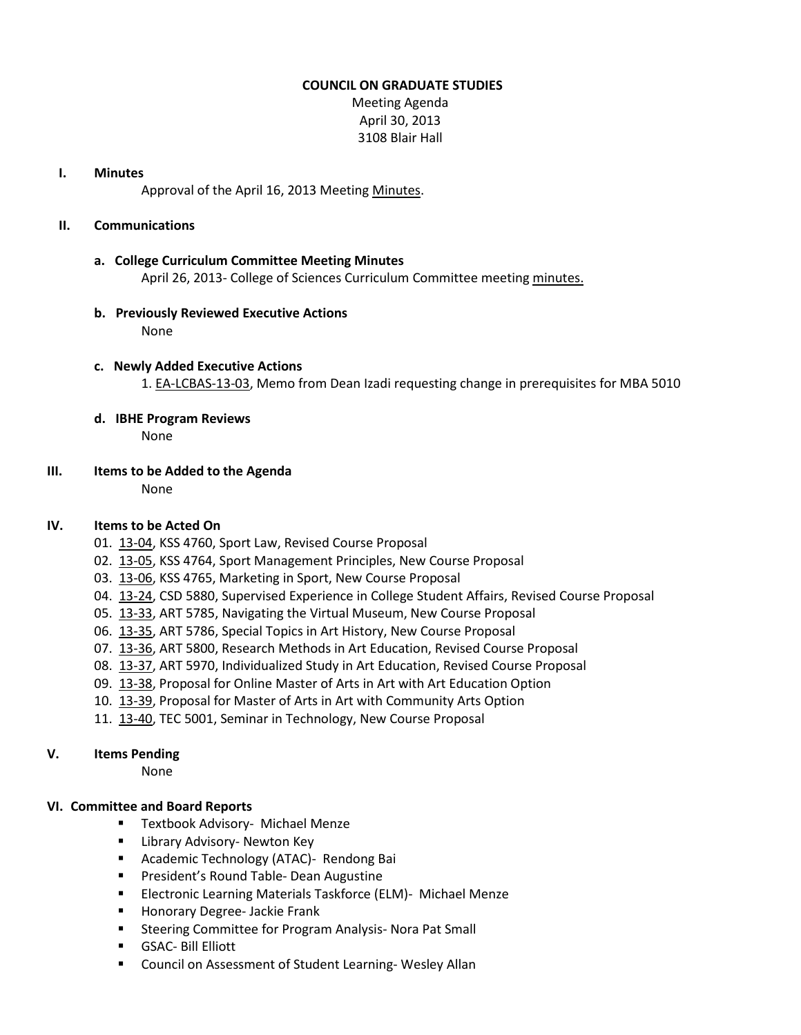#### **COUNCIL ON GRADUATE STUDIES**

Meeting Agenda April 30, 2013 3108 Blair Hall

#### **I. Minutes**

Approval of the April 16, 2013 Meetin[g Minutes.](http://castle.eiu.edu/eiucgs/currentminutes/Minutes04-16-13.pdf)

## **II. Communications**

#### **a. College Curriculum Committee Meeting Minutes**

April 26, 2013- College of Sciences Curriculum Committee meeting [minutes.](http://castle.eiu.edu/~eiucgs/currentagendaitems/COSMin04-26-13.pdf)

#### **b. Previously Reviewed Executive Actions** None

## **c. Newly Added Executive Actions** 1. [EA-LCBAS-13-03,](http://castle.eiu.edu/~eiucgs/exec-actions/EA-LCBAS-13-03.pdf) Memo from Dean Izadi requesting change in prerequisites for MBA 5010

**d. IBHE Program Reviews** None

## **III. Items to be Added to the Agenda**

None

## **IV. Items to be Acted On**

- 01. [13-04,](http://castle.eiu.edu/~eiucgs/currentagendaitems/agenda13-04.pdf) KSS 4760, Sport Law, Revised Course Proposal
- 02. [13-05,](http://castle.eiu.edu/~eiucgs/currentagendaitems/agenda13-05.pdf) KSS 4764, Sport Management Principles, New Course Proposal
- 03. [13-06,](http://castle.eiu.edu/~eiucgs/currentagendaitems/agenda13-06.pdf) KSS 4765, Marketing in Sport, New Course Proposal
- 04. [13-24,](http://castle.eiu.edu/~eiucgs/currentagendaitems/agenda13-24.pdf) CSD 5880, Supervised Experience in College Student Affairs, Revised Course Proposal
- 05. [13-33,](http://castle.eiu.edu/~eiucgs/currentagendaitems/agenda13-33.pdf) ART 5785, Navigating the Virtual Museum, New Course Proposal
- 06. [13-35,](http://castle.eiu.edu/~eiucgs/currentagendaitems/agenda13-35.pdf) ART 5786, Special Topics in Art History, New Course Proposal
- 07. [13-36,](http://castle.eiu.edu/~eiucgs/currentagendaitems/agenda13-36.pdf) ART 5800, Research Methods in Art Education, Revised Course Proposal
- 08. [13-37,](http://castle.eiu.edu/~eiucgs/currentagendaitems/agenda13-37.pdf) ART 5970, Individualized Study in Art Education, Revised Course Proposal
- 09. [13-38,](http://castle.eiu.edu/~eiucgs/currentagendaitems/agenda13-38.pdf) Proposal for Online Master of Arts in Art with Art Education Option
- 10. [13-39,](http://castle.eiu.edu/~eiucgs/currentagendaitems/agenda13-39.pdf) Proposal for Master of Arts in Art with Community Arts Option
- 11. [13-40,](http://castle.eiu.edu/~eiucgs/currentagendaitems/agenda13-40.pdf) TEC 5001, Seminar in Technology, New Course Proposal

## **V. Items Pending**

None

## **VI. Committee and Board Reports**

- **Textbook Advisory- Michael Menze**
- **E** Library Advisory- Newton Key
- **EXP** Academic Technology (ATAC)- Rendong Bai
- **Paramer's Round Table- Dean Augustine**
- **Electronic Learning Materials Taskforce (ELM)- Michael Menze**
- **Honorary Degree- Jackie Frank**
- **Steering Committee for Program Analysis- Nora Pat Small**
- GSAC- Bill Elliott
- Council on Assessment of Student Learning-Wesley Allan